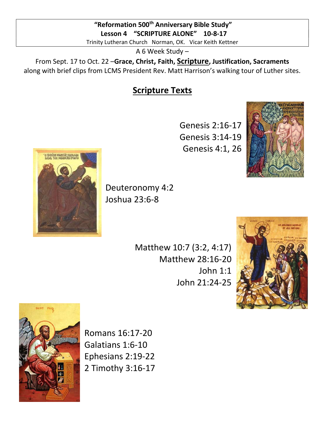## "Reformation 500<sup>th</sup> Anniversary Bible Study" Lesson 4 "SCRIPTURE ALONE" 10-8-17

Trinity Lutheran Church Norman, OK. Vicar Keith Kettner

A 6 Week Study –

From Sept. 17 to Oct. 22 –Grace, Christ, Faith, Scripture, Justification, Sacraments along with brief clips from LCMS President Rev. Matt Harrison's walking tour of Luther sites.

## Scripture Texts

Genesis 2:16-17 Genesis 3:14-19 Genesis 4:1, 26





Deuteronomy 4:2 Joshua 23:6-8

> Matthew 10:7 (3:2, 4:17) Matthew 28:16-20 John 1:1 John 21:24-25





Romans 16:17-20 Galatians 1:6-10 Ephesians 2:19-22 2 Timothy 3:16-17